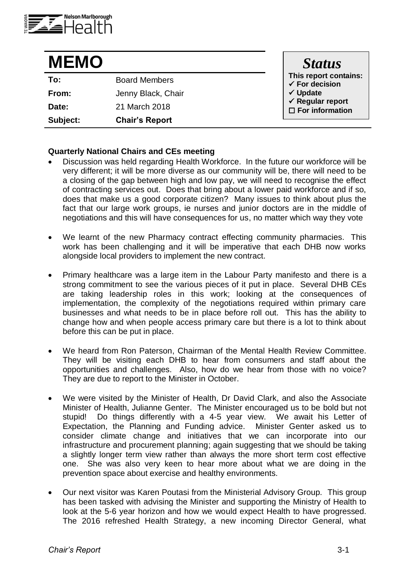

| <b>MEMO</b> |                       | <b>Status</b>                                                                                                |
|-------------|-----------------------|--------------------------------------------------------------------------------------------------------------|
| To:         | <b>Board Members</b>  | This report contains:<br>$\checkmark$ For decision<br>√ Update<br>√ Regular report<br>$\Box$ For information |
| From:       | Jenny Black, Chair    |                                                                                                              |
| Date:       | 21 March 2018         |                                                                                                              |
| Subject:    | <b>Chair's Report</b> |                                                                                                              |

## **Quarterly National Chairs and CEs meeting**

- Discussion was held regarding Health Workforce. In the future our workforce will be very different; it will be more diverse as our community will be, there will need to be a closing of the gap between high and low pay, we will need to recognise the effect of contracting services out. Does that bring about a lower paid workforce and if so, does that make us a good corporate citizen? Many issues to think about plus the fact that our large work groups, ie nurses and junior doctors are in the middle of negotiations and this will have consequences for us, no matter which way they vote
- We learnt of the new Pharmacy contract effecting community pharmacies. This work has been challenging and it will be imperative that each DHB now works alongside local providers to implement the new contract.
- Primary healthcare was a large item in the Labour Party manifesto and there is a strong commitment to see the various pieces of it put in place. Several DHB CEs are taking leadership roles in this work; looking at the consequences of implementation, the complexity of the negotiations required within primary care businesses and what needs to be in place before roll out. This has the ability to change how and when people access primary care but there is a lot to think about before this can be put in place.
- We heard from Ron Paterson, Chairman of the Mental Health Review Committee. They will be visiting each DHB to hear from consumers and staff about the opportunities and challenges. Also, how do we hear from those with no voice? They are due to report to the Minister in October.
- We were visited by the Minister of Health, Dr David Clark, and also the Associate Minister of Health, Julianne Genter. The Minister encouraged us to be bold but not stupid! Do things differently with a 4-5 year view. We await his Letter of Expectation, the Planning and Funding advice. Minister Genter asked us to consider climate change and initiatives that we can incorporate into our infrastructure and procurement planning; again suggesting that we should be taking a slightly longer term view rather than always the more short term cost effective one. She was also very keen to hear more about what we are doing in the prevention space about exercise and healthy environments.
- Our next visitor was Karen Poutasi from the Ministerial Advisory Group. This group has been tasked with advising the Minister and supporting the Ministry of Health to look at the 5-6 year horizon and how we would expect Health to have progressed. The 2016 refreshed Health Strategy, a new incoming Director General, what